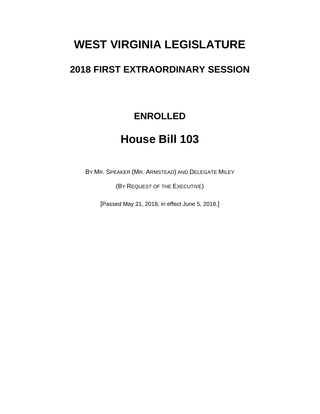# **WEST VIRGINIA LEGISLATURE**

## **2018 FIRST EXTRAORDINARY SESSION**

## **ENROLLED**

## **House Bill 103**

BY MR. SPEAKER (MR. ARMSTEAD) AND DELEGATE MILEY

(BY REQUEST OF THE EXECUTIVE)

[Passed May 21, 2018; in effect June 5, 2018.]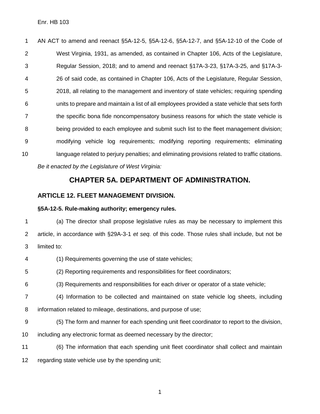AN ACT to amend and reenact §5A-12-5, §5A-12-6, §5A-12-7, and §5A-12-10 of the Code of West Virginia, 1931, as amended, as contained in Chapter 106, Acts of the Legislature, Regular Session, 2018; and to amend and reenact §17A-3-23, §17A-3-25, and §17A-3- 26 of said code, as contained in Chapter 106, Acts of the Legislature, Regular Session, 2018, all relating to the management and inventory of state vehicles; requiring spending units to prepare and maintain a list of all employees provided a state vehicle that sets forth the specific bona fide noncompensatory business reasons for which the state vehicle is being provided to each employee and submit such list to the fleet management division; modifying vehicle log requirements; modifying reporting requirements; eliminating language related to perjury penalties; and eliminating provisions related to traffic citations. *Be it enacted by the Legislature of West Virginia:*

### **CHAPTER 5A. DEPARTMENT OF ADMINISTRATION.**

#### **ARTICLE 12. FLEET MANAGEMENT DIVISION.**

#### **§5A-12-5. Rule-making authority; emergency rules.**

 (a) The director shall propose legislative rules as may be necessary to implement this article, in accordance with §29A-3-1 *et seq.* of this code. Those rules shall include, but not be limited to:

(1) Requirements governing the use of state vehicles;

(2) Reporting requirements and responsibilities for fleet coordinators;

(3) Requirements and responsibilities for each driver or operator of a state vehicle;

 (4) Information to be collected and maintained on state vehicle log sheets, including information related to mileage, destinations, and purpose of use;

- (5) The form and manner for each spending unit fleet coordinator to report to the division,
- including any electronic format as deemed necessary by the director;

 (6) The information that each spending unit fleet coordinator shall collect and maintain regarding state vehicle use by the spending unit;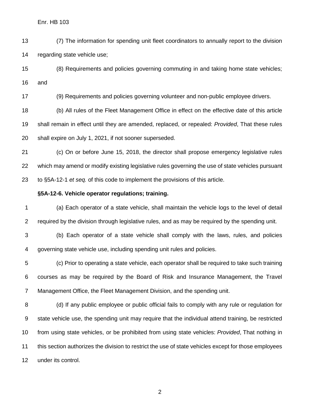(7) The information for spending unit fleet coordinators to annually report to the division regarding state vehicle use;

 (8) Requirements and policies governing commuting in and taking home state vehicles; and

(9) Requirements and policies governing volunteer and non-public employee drivers.

 (b) All rules of the Fleet Management Office in effect on the effective date of this article shall remain in effect until they are amended, replaced, or repealed: *Provided*, That these rules shall expire on July 1, 2021, if not sooner superseded.

 (c) On or before June 15, 2018, the director shall propose emergency legislative rules which may amend or modify existing legislative rules governing the use of state vehicles pursuant to §5A-12-1 *et seq.* of this code to implement the provisions of this article.

#### **§5A-12-6. Vehicle operator regulations; training.**

 (a) Each operator of a state vehicle, shall maintain the vehicle logs to the level of detail required by the division through legislative rules, and as may be required by the spending unit.

 (b) Each operator of a state vehicle shall comply with the laws, rules, and policies governing state vehicle use, including spending unit rules and policies.

 (c) Prior to operating a state vehicle, each operator shall be required to take such training courses as may be required by the Board of Risk and Insurance Management, the Travel Management Office, the Fleet Management Division, and the spending unit.

 (d) If any public employee or public official fails to comply with any rule or regulation for state vehicle use, the spending unit may require that the individual attend training, be restricted from using state vehicles, or be prohibited from using state vehicles: *Provided*, That nothing in this section authorizes the division to restrict the use of state vehicles except for those employees under its control.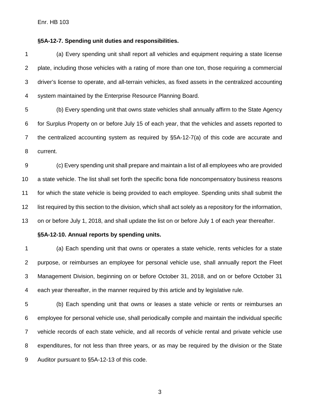Enr. HB 103

#### **§5A-12-7. Spending unit duties and responsibilities.**

 (a) Every spending unit shall report all vehicles and equipment requiring a state license plate, including those vehicles with a rating of more than one ton, those requiring a commercial driver's license to operate, and all-terrain vehicles, as fixed assets in the centralized accounting system maintained by the Enterprise Resource Planning Board.

 (b) Every spending unit that owns state vehicles shall annually affirm to the State Agency for Surplus Property on or before July 15 of each year, that the vehicles and assets reported to the centralized accounting system as required by §5A-12-7(a) of this code are accurate and current.

 (c) Every spending unit shall prepare and maintain a list of all employees who are provided a state vehicle. The list shall set forth the specific bona fide noncompensatory business reasons for which the state vehicle is being provided to each employee. Spending units shall submit the list required by this section to the division, which shall act solely as a repository for the information, on or before July 1, 2018, and shall update the list on or before July 1 of each year thereafter.

#### **§5A-12-10. Annual reports by spending units.**

 (a) Each spending unit that owns or operates a state vehicle, rents vehicles for a state purpose, or reimburses an employee for personal vehicle use, shall annually report the Fleet Management Division, beginning on or before October 31, 2018, and on or before October 31 each year thereafter, in the manner required by this article and by legislative rule.

 (b) Each spending unit that owns or leases a state vehicle or rents or reimburses an employee for personal vehicle use, shall periodically compile and maintain the individual specific vehicle records of each state vehicle, and all records of vehicle rental and private vehicle use expenditures, for not less than three years, or as may be required by the division or the State Auditor pursuant to §5A-12-13 of this code.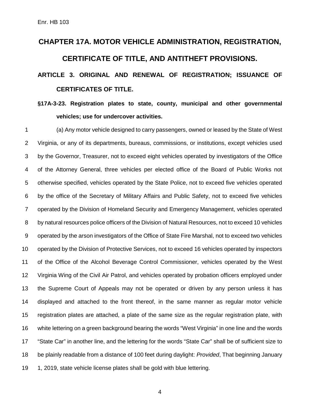# **CHAPTER 17A. MOTOR VEHICLE ADMINISTRATION, REGISTRATION, CERTIFICATE OF TITLE, AND ANTITHEFT PROVISIONS.**

## **ARTICLE 3. ORIGINAL AND RENEWAL OF REGISTRATION; ISSUANCE OF CERTIFICATES OF TITLE.**

## **§17A-3-23. Registration plates to state, county, municipal and other governmental vehicles; use for undercover activities.**

 (a) Any motor vehicle designed to carry passengers, owned or leased by the State of West Virginia, or any of its departments, bureaus, commissions, or institutions, except vehicles used by the Governor, Treasurer, not to exceed eight vehicles operated by investigators of the Office of the Attorney General, three vehicles per elected office of the Board of Public Works not otherwise specified, vehicles operated by the State Police, not to exceed five vehicles operated by the office of the Secretary of Military Affairs and Public Safety, not to exceed five vehicles operated by the Division of Homeland Security and Emergency Management, vehicles operated by natural resources police officers of the Division of Natural Resources, not to exceed 10 vehicles operated by the arson investigators of the Office of State Fire Marshal, not to exceed two vehicles operated by the Division of Protective Services, not to exceed 16 vehicles operated by inspectors of the Office of the Alcohol Beverage Control Commissioner, vehicles operated by the West Virginia Wing of the Civil Air Patrol, and vehicles operated by probation officers employed under the Supreme Court of Appeals may not be operated or driven by any person unless it has displayed and attached to the front thereof, in the same manner as regular motor vehicle registration plates are attached, a plate of the same size as the regular registration plate, with white lettering on a green background bearing the words "West Virginia" in one line and the words "State Car" in another line, and the lettering for the words "State Car" shall be of sufficient size to be plainly readable from a distance of 100 feet during daylight: *Provided*, That beginning January 19 1, 2019, state vehicle license plates shall be gold with blue lettering.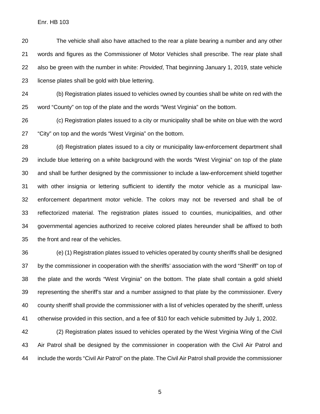The vehicle shall also have attached to the rear a plate bearing a number and any other words and figures as the Commissioner of Motor Vehicles shall prescribe. The rear plate shall also be green with the number in white: *Provided*, That beginning January 1, 2019, state vehicle license plates shall be gold with blue lettering.

 (b) Registration plates issued to vehicles owned by counties shall be white on red with the word "County" on top of the plate and the words "West Virginia" on the bottom.

 (c) Registration plates issued to a city or municipality shall be white on blue with the word "City" on top and the words "West Virginia" on the bottom.

 (d) Registration plates issued to a city or municipality law-enforcement department shall include blue lettering on a white background with the words "West Virginia" on top of the plate and shall be further designed by the commissioner to include a law-enforcement shield together with other insignia or lettering sufficient to identify the motor vehicle as a municipal law- enforcement department motor vehicle. The colors may not be reversed and shall be of reflectorized material. The registration plates issued to counties, municipalities, and other governmental agencies authorized to receive colored plates hereunder shall be affixed to both the front and rear of the vehicles.

 (e) (1) Registration plates issued to vehicles operated by county sheriffs shall be designed by the commissioner in cooperation with the sheriffs' association with the word "Sheriff" on top of the plate and the words "West Virginia" on the bottom. The plate shall contain a gold shield representing the sheriff's star and a number assigned to that plate by the commissioner. Every county sheriff shall provide the commissioner with a list of vehicles operated by the sheriff, unless otherwise provided in this section, and a fee of \$10 for each vehicle submitted by July 1, 2002.

 (2) Registration plates issued to vehicles operated by the West Virginia Wing of the Civil Air Patrol shall be designed by the commissioner in cooperation with the Civil Air Patrol and include the words "Civil Air Patrol" on the plate. The Civil Air Patrol shall provide the commissioner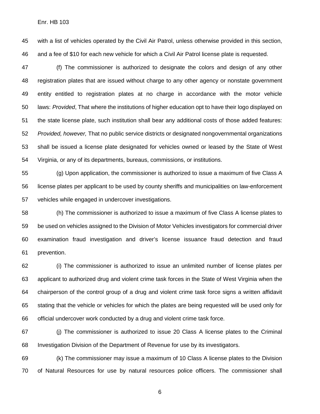with a list of vehicles operated by the Civil Air Patrol, unless otherwise provided in this section, and a fee of \$10 for each new vehicle for which a Civil Air Patrol license plate is requested.

 (f) The commissioner is authorized to designate the colors and design of any other registration plates that are issued without charge to any other agency or nonstate government entity entitled to registration plates at no charge in accordance with the motor vehicle laws: *Provided*, That where the institutions of higher education opt to have their logo displayed on the state license plate, such institution shall bear any additional costs of those added features: *Provided, however,* That no public service districts or designated nongovernmental organizations shall be issued a license plate designated for vehicles owned or leased by the State of West Virginia, or any of its departments, bureaus, commissions, or institutions.

 (g) Upon application, the commissioner is authorized to issue a maximum of five Class A license plates per applicant to be used by county sheriffs and municipalities on law-enforcement vehicles while engaged in undercover investigations.

 (h) The commissioner is authorized to issue a maximum of five Class A license plates to be used on vehicles assigned to the Division of Motor Vehicles investigators for commercial driver examination fraud investigation and driver's license issuance fraud detection and fraud prevention.

 (i) The commissioner is authorized to issue an unlimited number of license plates per applicant to authorized drug and violent crime task forces in the State of West Virginia when the chairperson of the control group of a drug and violent crime task force signs a written affidavit stating that the vehicle or vehicles for which the plates are being requested will be used only for official undercover work conducted by a drug and violent crime task force.

 (j) The commissioner is authorized to issue 20 Class A license plates to the Criminal Investigation Division of the Department of Revenue for use by its investigators.

 (k) The commissioner may issue a maximum of 10 Class A license plates to the Division of Natural Resources for use by natural resources police officers. The commissioner shall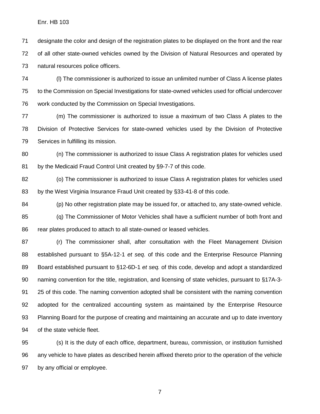designate the color and design of the registration plates to be displayed on the front and the rear of all other state-owned vehicles owned by the Division of Natural Resources and operated by natural resources police officers.

 (l) The commissioner is authorized to issue an unlimited number of Class A license plates to the Commission on Special Investigations for state-owned vehicles used for official undercover work conducted by the Commission on Special Investigations.

 (m) The commissioner is authorized to issue a maximum of two Class A plates to the Division of Protective Services for state-owned vehicles used by the Division of Protective Services in fulfilling its mission.

 (n) The commissioner is authorized to issue Class A registration plates for vehicles used 81 by the Medicaid Fraud Control Unit created by §9-7-7 of this code.

 (o) The commissioner is authorized to issue Class A registration plates for vehicles used by the West Virginia Insurance Fraud Unit created by §33-41-8 of this code.

 (p) No other registration plate may be issued for, or attached to, any state-owned vehicle. (q) The Commissioner of Motor Vehicles shall have a sufficient number of both front and rear plates produced to attach to all state-owned or leased vehicles.

 (r) The commissioner shall, after consultation with the Fleet Management Division established pursuant to §5A-12-1 *et seq.* of this code and the Enterprise Resource Planning Board established pursuant to §12-6D-1 *et seq.* of this code, develop and adopt a standardized naming convention for the title, registration, and licensing of state vehicles, pursuant to §17A-3- 25 of this code. The naming convention adopted shall be consistent with the naming convention adopted for the centralized accounting system as maintained by the Enterprise Resource Planning Board for the purpose of creating and maintaining an accurate and up to date inventory of the state vehicle fleet.

 (s) It is the duty of each office, department, bureau, commission, or institution furnished any vehicle to have plates as described herein affixed thereto prior to the operation of the vehicle by any official or employee.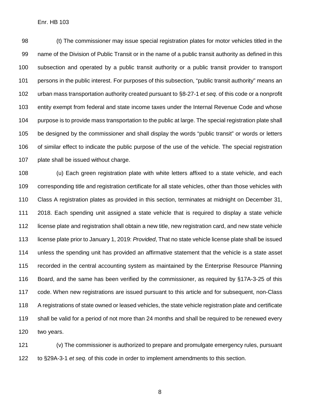(t) The commissioner may issue special registration plates for motor vehicles titled in the name of the Division of Public Transit or in the name of a public transit authority as defined in this subsection and operated by a public transit authority or a public transit provider to transport persons in the public interest. For purposes of this subsection, "public transit authority" means an urban mass transportation authority created pursuant to §8-27-1 *et seq.* of this code or a nonprofit entity exempt from federal and state income taxes under the Internal Revenue Code and whose purpose is to provide mass transportation to the public at large. The special registration plate shall be designed by the commissioner and shall display the words "public transit" or words or letters of similar effect to indicate the public purpose of the use of the vehicle. The special registration plate shall be issued without charge.

 (u) Each green registration plate with white letters affixed to a state vehicle, and each corresponding title and registration certificate for all state vehicles, other than those vehicles with Class A registration plates as provided in this section, terminates at midnight on December 31, 2018. Each spending unit assigned a state vehicle that is required to display a state vehicle license plate and registration shall obtain a new title, new registration card, and new state vehicle license plate prior to January 1, 2019: *Provided*, That no state vehicle license plate shall be issued unless the spending unit has provided an affirmative statement that the vehicle is a state asset recorded in the central accounting system as maintained by the Enterprise Resource Planning Board, and the same has been verified by the commissioner, as required by §17A-3-25 of this code. When new registrations are issued pursuant to this article and for subsequent, non-Class A registrations of state owned or leased vehicles, the state vehicle registration plate and certificate shall be valid for a period of not more than 24 months and shall be required to be renewed every two years.

 (v) The commissioner is authorized to prepare and promulgate emergency rules, pursuant to §29A-3-1 *et seq.* of this code in order to implement amendments to this section.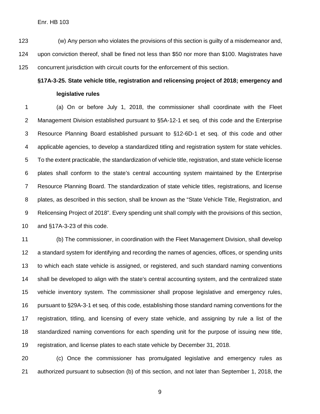#### Enr. HB 103

 (w) Any person who violates the provisions of this section is guilty of a misdemeanor and, upon conviction thereof, shall be fined not less than \$50 nor more than \$100. Magistrates have concurrent jurisdiction with circuit courts for the enforcement of this section.

## **§17A-3-25. State vehicle title, registration and relicensing project of 2018; emergency and legislative rules**

 (a) On or before July 1, 2018, the commissioner shall coordinate with the Fleet Management Division established pursuant to §5A-12-1 et seq. of this code and the Enterprise Resource Planning Board established pursuant to §12-6D-1 et seq. of this code and other applicable agencies, to develop a standardized titling and registration system for state vehicles. To the extent practicable, the standardization of vehicle title, registration, and state vehicle license plates shall conform to the state's central accounting system maintained by the Enterprise Resource Planning Board. The standardization of state vehicle titles, registrations, and license plates, as described in this section, shall be known as the "State Vehicle Title, Registration, and Relicensing Project of 2018". Every spending unit shall comply with the provisions of this section, and §17A-3-23 of this code.

 (b) The commissioner, in coordination with the Fleet Management Division, shall develop a standard system for identifying and recording the names of agencies, offices, or spending units to which each state vehicle is assigned, or registered, and such standard naming conventions shall be developed to align with the state's central accounting system, and the centralized state vehicle inventory system. The commissioner shall propose legislative and emergency rules, pursuant to §29A-3-1 et seq. of this code, establishing those standard naming conventions for the registration, titling, and licensing of every state vehicle, and assigning by rule a list of the standardized naming conventions for each spending unit for the purpose of issuing new title, registration, and license plates to each state vehicle by December 31, 2018.

 (c) Once the commissioner has promulgated legislative and emergency rules as authorized pursuant to subsection (b) of this section, and not later than September 1, 2018, the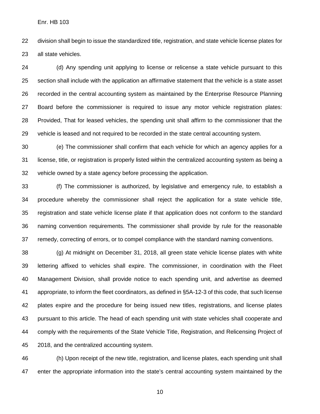division shall begin to issue the standardized title, registration, and state vehicle license plates for all state vehicles.

 (d) Any spending unit applying to license or relicense a state vehicle pursuant to this section shall include with the application an affirmative statement that the vehicle is a state asset recorded in the central accounting system as maintained by the Enterprise Resource Planning Board before the commissioner is required to issue any motor vehicle registration plates: Provided, That for leased vehicles, the spending unit shall affirm to the commissioner that the vehicle is leased and not required to be recorded in the state central accounting system.

 (e) The commissioner shall confirm that each vehicle for which an agency applies for a license, title, or registration is properly listed within the centralized accounting system as being a vehicle owned by a state agency before processing the application.

 (f) The commissioner is authorized, by legislative and emergency rule, to establish a procedure whereby the commissioner shall reject the application for a state vehicle title, registration and state vehicle license plate if that application does not conform to the standard naming convention requirements. The commissioner shall provide by rule for the reasonable remedy, correcting of errors, or to compel compliance with the standard naming conventions.

 (g) At midnight on December 31, 2018, all green state vehicle license plates with white lettering affixed to vehicles shall expire. The commissioner, in coordination with the Fleet Management Division, shall provide notice to each spending unit, and advertise as deemed appropriate, to inform the fleet coordinators, as defined in §5A-12-3 of this code, that such license plates expire and the procedure for being issued new titles, registrations, and license plates pursuant to this article. The head of each spending unit with state vehicles shall cooperate and comply with the requirements of the State Vehicle Title, Registration, and Relicensing Project of 2018, and the centralized accounting system.

 (h) Upon receipt of the new title, registration, and license plates, each spending unit shall enter the appropriate information into the state's central accounting system maintained by the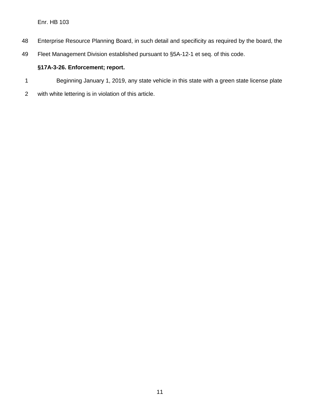- Enterprise Resource Planning Board, in such detail and specificity as required by the board, the
- Fleet Management Division established pursuant to §5A-12-1 et seq. of this code.

### **§17A-3-26. Enforcement; report.**

- Beginning January 1, 2019, any state vehicle in this state with a green state license plate
- with white lettering is in violation of this article.